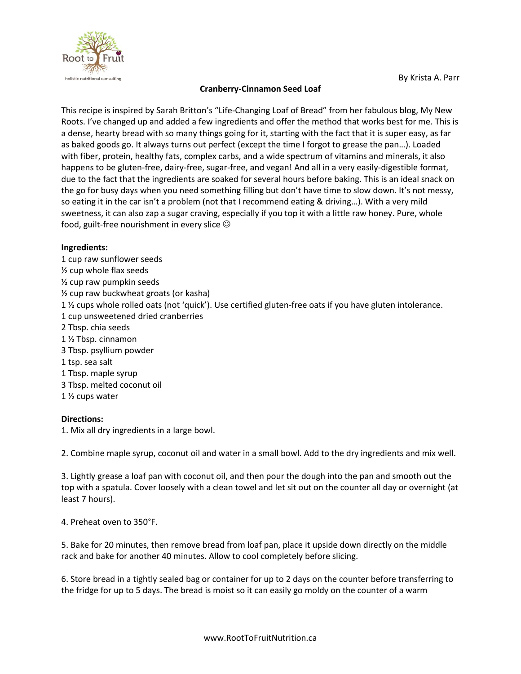

## **Cranberry-Cinnamon Seed Loaf**

This recipe is inspired by Sarah Britton's "Life-Changing Loaf of Bread" from her fabulous blog, My New Roots. I've changed up and added a few ingredients and offer the method that works best for me. This is a dense, hearty bread with so many things going for it, starting with the fact that it is super easy, as far as baked goods go. It always turns out perfect (except the time I forgot to grease the pan…). Loaded with fiber, protein, healthy fats, complex carbs, and a wide spectrum of vitamins and minerals, it also happens to be gluten-free, dairy-free, sugar-free, and vegan! And all in a very easily-digestible format, due to the fact that the ingredients are soaked for several hours before baking. This is an ideal snack on the go for busy days when you need something filling but don't have time to slow down. It's not messy, so eating it in the car isn't a problem (not that I recommend eating & driving…). With a very mild sweetness, it can also zap a sugar craving, especially if you top it with a little raw honey. Pure, whole food, guilt-free nourishment in every slice  $\odot$ 

## **Ingredients:**

1 cup raw sunflower seeds ½ cup whole flax seeds ½ cup raw pumpkin seeds ½ cup raw buckwheat groats (or kasha) 1 ½ cups whole rolled oats (not 'quick'). Use certified gluten-free oats if you have gluten intolerance. 1 cup unsweetened dried cranberries 2 Tbsp. chia seeds 1 ½ Tbsp. cinnamon 3 Tbsp. psyllium powder 1 tsp. sea salt 1 Tbsp. maple syrup 3 Tbsp. melted coconut oil 1 ½ cups water

## **Directions:**

1. Mix all dry ingredients in a large bowl.

2. Combine maple syrup, coconut oil and water in a small bowl. Add to the dry ingredients and mix well.

3. Lightly grease a loaf pan with coconut oil, and then pour the dough into the pan and smooth out the top with a spatula. Cover loosely with a clean towel and let sit out on the counter all day or overnight (at least 7 hours).

4. Preheat oven to 350°F.

5. Bake for 20 minutes, then remove bread from loaf pan, place it upside down directly on the middle rack and bake for another 40 minutes. Allow to cool completely before slicing.

6. Store bread in a tightly sealed bag or container for up to 2 days on the counter before transferring to the fridge for up to 5 days. The bread is moist so it can easily go moldy on the counter of a warm